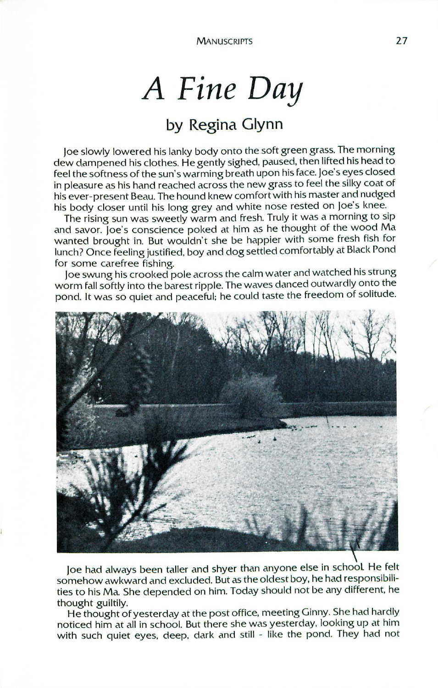## *A Fine Day*

## **by Regina Glynn**

Joeslowly lowered his lanky body onto the soft green grass.The morning dew dampened his clothes. He gently sighed, paused, then lifted his head to feel the softness of the sun's warming breath upon his face. Joe's eyes closed in pleasure as his hand reached across the new grass to feel the silky coat of his ever-present Beau.The hound knew comfort with his master and nudged his body closer until his long grey and white nose rested on joe's knee.

The rising sun was sweetly warm and fresh. Truly it was a morning to sip and savor. joe's conscience poked at him as he thought of the wood Ma wanted brought in. But wouldn't she be happier with some fresh fish for lunch? Once feeling justified, boy and dog settled comfortably at Black Pond for some carefree fishing.

joe swung his crooked pole across the calm water and watched his strung worm fall softly into the barest ripple. The waves danced outwardly onto the pond. It was so quiet and peaceful; he could taste the freedom of solitude.



Joe had always been taller and shyer than anyone else in school He felt somehow awkward and excluded. But as the oldest boy, he had responsibilities to his Ma She depended on him. Today should not be any different, he thought guiltily.

He thought of yesterday at the post office, meeting Ginny. She had hardly noticed him at all in school. But there she was yesterday, looking up at him with such quiet eyes, deep, dark and still - like the pond. They had not